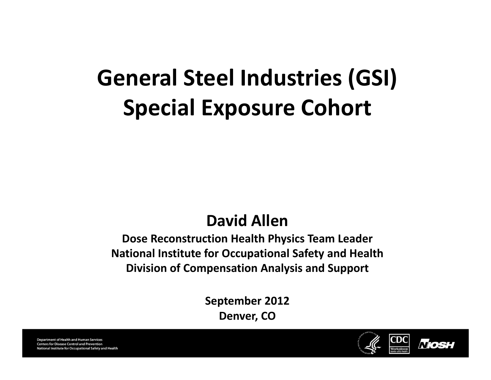# **General Steel Industries (GSI) Special Exposure Cohort**

#### **David Allen**

**Dose Reconstruction Health Physics Team Leader National Institute for Occupational Safety and Health Division of Compensation Analysis and Support**

> **September 2012 Denver, CO**



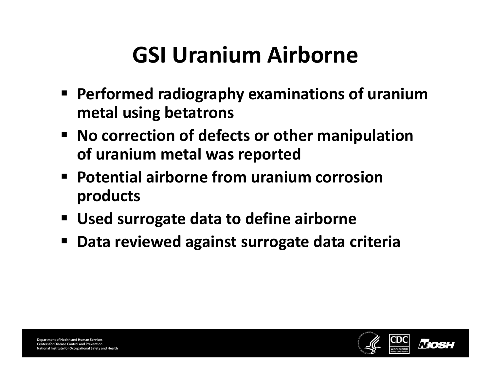# **GSI Uranium Airborne**

- **Performed radiography examinations of uranium metal using betatrons**
- **No correction of defects or other manipulation of uranium metal was reported**
- **Potential airborne from uranium corrosion products**
- **Used surrogate data to define airborne**
- П **Data reviewed against surrogate data criteria**

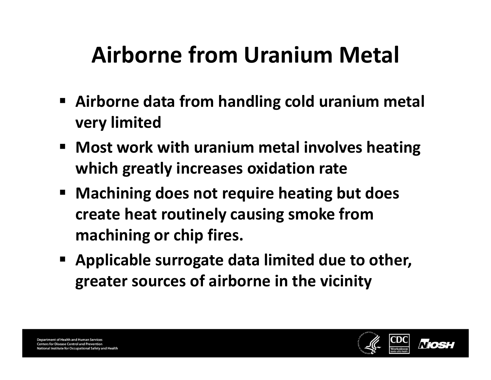# **Airborne from Uranium Metal**

- **Airborne data from handling cold uranium metal very limited**
- **Most work with uranium metal involves heating which greatly increases oxidation rate**
- **Machining does not require heating but does create heat routinely causing smoke from machining or chip fires.**
- **Applicable surrogate data limited due to other, greater sources of airborne in the vicinity**

**Department of Health and Human Services Centers for Disease Control and Prevention** nal Institute for Occupational Safety and Health

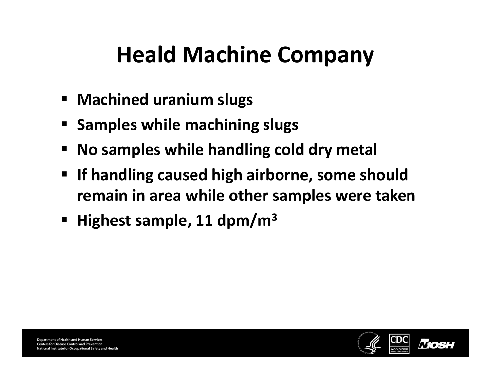### **Heald Machine Company**

- **Machined uranium slugs**
- **Samples while machining slugs**
- **No samples while handling cold dry metal**
- **If handling caused high airborne, some should remain in area while other samples were taken**
- **Highest sample, 11 dpm/m3**

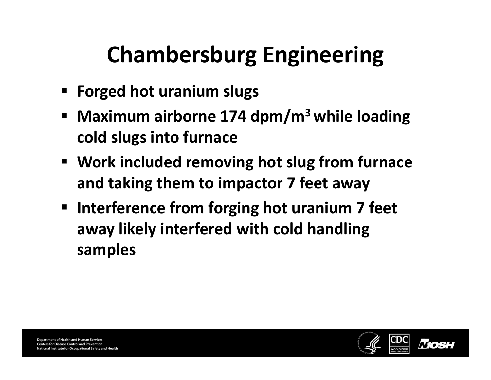# **Chambersburg Engineering**

- **Forged hot uranium slugs**
- $\blacksquare$  **Maximum airborne 174 dpm/m3while loading cold slugs into furnace**
- **Work included removing hot slug from furnace and taking them to impactor 7 feet away**
- **Interference from forging hot uranium 7 feet away likely interfered with cold handling samples**

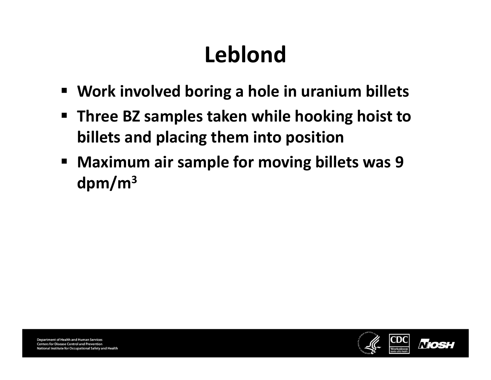# **Leblond**

- $\blacksquare$ **Work involved boring <sup>a</sup> hole in uranium billets**
- $\blacksquare$  **Three BZ samples taken while hooking hoist to billets and placing them into position**
- **Maximum air sample for moving billets was 9 dpm/m3**